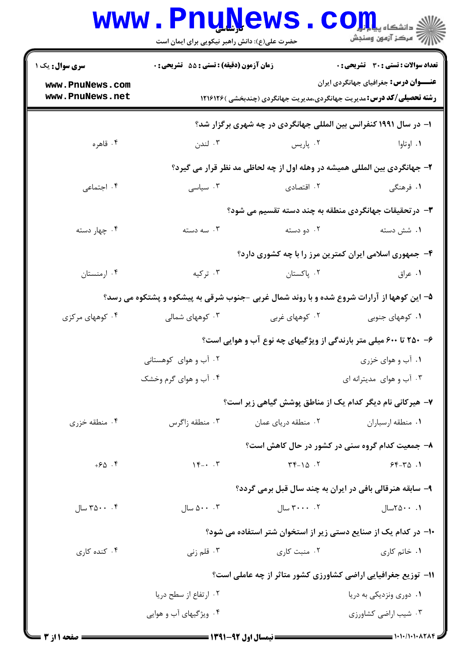|                                                                                           | <b>www.PnuNews</b>                                                                          |                                                                              | $\text{C}$ OIIL<br>أأرأت مركز آزمون وسنجش    |  |  |
|-------------------------------------------------------------------------------------------|---------------------------------------------------------------------------------------------|------------------------------------------------------------------------------|----------------------------------------------|--|--|
| <b>سری سوال :</b> یک ۱                                                                    | حضرت علی(ع): دانش راهبر نیکویی برای ایمان است<br>زمان آزمون (دقیقه) : تستی : 55 آتشریحی : 0 |                                                                              | تعداد سوالات : تستى : 30 - تشريحي : 0        |  |  |
| www.PnuNews.com                                                                           |                                                                                             |                                                                              | <b>عنـــوان درس:</b> جغرافیای جهانگردی ایران |  |  |
| www.PnuNews.net                                                                           |                                                                                             | <b>رشته تحصیلی/کد درس:</b> مدیریت جهانگردی،مدیریت جهانگردی (چندبخشی )۱۲۱۶۱۲۶ |                                              |  |  |
|                                                                                           | ا- در سال ۱۹۹۱ کنفرانس بین المللی جهانگردی در چه شهری برگزار شد؟                            |                                                                              |                                              |  |  |
| ۰۴ قاهره                                                                                  | ۰۳ لندن                                                                                     | ۰۲ پاریس                                                                     | ۰۱ اوتاوا                                    |  |  |
|                                                                                           |                                                                                             | ۲- جهانگردی بین المللی همیشه در وهله اول از چه لحاظی مد نظر قرار می گیرد؟    |                                              |  |  |
| ۰۴ اجتماعی                                                                                | ۰۳ سیاسی                                                                                    | ۰۲ اقتصادی                                                                   | ۱. فرهنگی                                    |  |  |
|                                                                                           |                                                                                             | <b>۳</b> - در تحقیقات جهانگردی منطقه به چند دسته تقسیم می شود؟               |                                              |  |  |
| ۰۴ چهار دسته                                                                              | ۰۳ سه دسته                                                                                  | ۰۲ دو دسته                                                                   | ۰۱ شش دسته                                   |  |  |
|                                                                                           |                                                                                             | ۴- جمهوری اسلامی ایران کمترین مرز را با چه کشوری دارد؟                       |                                              |  |  |
| ۰۴ ارمنستان                                                                               | ۰۳ ترکیه                                                                                    | ۰۲ پاکستان                                                                   | ۰۱ عراق                                      |  |  |
| ۵– این کوهها از آرارات شروع شده و با روند شمال غربی -جنوب شرقی به پیشکوه و پشتکوه می رسد؟ |                                                                                             |                                                                              |                                              |  |  |
| ۰۴ کوههای مرکزی                                                                           | ۰۳ کوههای شمالی                                                                             | ۰۲ کوههای غربی                                                               | ۰۱ کوههای جنوبی                              |  |  |
|                                                                                           |                                                                                             | ۶-۰ ۲۵۰ تا ۶۰۰ میلی متر بارندگی از ویژگیهای چه نوع آب و هوایی است؟           |                                              |  |  |
|                                                                                           | ۲. آب و هوای کوهستانی                                                                       |                                                                              | ۰۱ آب و هوای خزری                            |  |  |
|                                                                                           | ۰۴ آب و هوای گرم وخشک                                                                       |                                                                              | ۰۳ آب و هوای مدیترانه ای                     |  |  |
|                                                                                           |                                                                                             | ۷- هیرکانی نام دیگر کدام یک از مناطق پوشش گیاهی زیر است؟                     |                                              |  |  |
| ۰۴ منطقه خزری                                                                             | ۰۳ منطقه زاگرس                                                                              | ٠٢ منطقه درياي عمان                                                          | ٠١ منطقه ارسباران                            |  |  |
|                                                                                           |                                                                                             | ۸- جمعیت کدام گروه سنی در کشور در حال کاهش است؟                              |                                              |  |  |
| $+50.5$                                                                                   | $\gamma_{\text{r}}$ . $\gamma$                                                              | $\Upsilon \Upsilon - 10$ .                                                   | $55 - 70.1$                                  |  |  |
|                                                                                           |                                                                                             | ۹- سابقه هنرقالی بافی در ایران به چند سال قبل برمی گردد؟                     |                                              |  |  |
| ۳۵۰۰ $\cdot$ ۰۴ سال                                                                       | $\bigcup_{\alpha} \Delta \cdot \cdot \cdot \cdot \mathsf{Y}$                                | $\mathcal{L} \rightarrow \mathcal{L}$ سال $\mathcal{L}$                      | ۰. ۲۵۰۰–۲۵۲                                  |  |  |
|                                                                                           |                                                                                             | ۱۰– در کدام یک از صنایع دستی زیر از استخوان شتر استفاده می شود؟              |                                              |  |  |
| ۰۴ کنده کاری                                                                              | ۰۳ قلم زنی                                                                                  | ۰۲ منبت کاری                                                                 | ۰۱ خاتم کاری                                 |  |  |
|                                                                                           |                                                                                             | <b>۱۱- توزیع جغرافیایی اراضی کشاورزی کشور متاثر از چه عاملی است؟</b>         |                                              |  |  |
|                                                                                           | ۰۲ ارتفاع از سطح دریا                                                                       |                                                                              | ۰۱ دوری ونزدیکی به دریا                      |  |  |
|                                                                                           | ۰۴ ویژگیهای آب و هوایی                                                                      |                                                                              | ۰۳ شیب اراضی کشاورزی                         |  |  |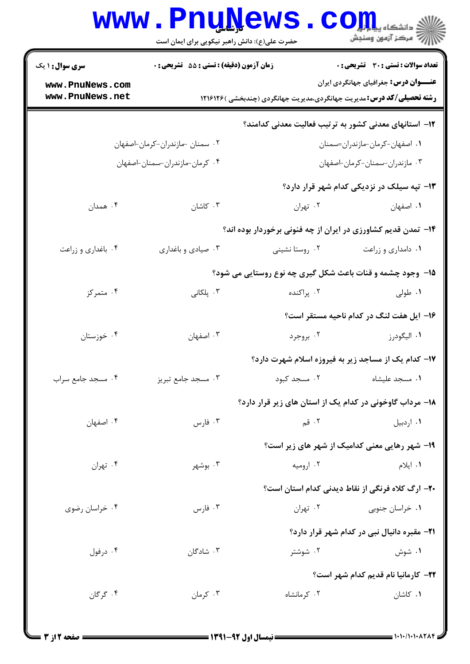|                                  | Www. Pnu News. Com<br>حضرت علی(ع): دانش راهبر نیکویی برای ایمان است |                                                                              |                                                       |
|----------------------------------|---------------------------------------------------------------------|------------------------------------------------------------------------------|-------------------------------------------------------|
| سري سوال :                       | زمان آزمون (دقیقه) : تستی : 55 آتشریحی : 0                          |                                                                              | <b>تعداد سوالات : تستی : 30 ٪ تشریحی : 0</b>          |
| ww.PnuNews.com<br>ww.PnuNews.net |                                                                     | <b>رشته تحصیلی/کد درس:</b> مدیریت جهانگردی،مدیریت جهانگردی (چندبخشی )۱۲۱۶۱۲۶ | عنـــوان درس: جغرافیای جهانگردی ایران                 |
|                                  |                                                                     |                                                                              | ۱۲– استانهای معدنی کشور به ترتیب فعالیت معدنی کدامند؟ |
|                                  | ۰۲ سمنان -مازندران-کرمان-اصفهان                                     |                                                                              | 1. اصفهان-كرمان-مازندران=سمنان                        |

| ٠٣ مازندران-سمنان-كرمان-اصفهان                      |                                                                  | ۰۴ کرمان-مازندران-سمنان-اصفهان |                    |
|-----------------------------------------------------|------------------------------------------------------------------|--------------------------------|--------------------|
| ۱۳- تپه سیلک در نزدیکی کدام شهر قرار دارد؟          |                                                                  |                                |                    |
| ٠١. اصفهان                                          | ۰۲ تهران                                                         | ۰۳ کاشان                       | ۰۴ همدان           |
|                                                     | ۱۴- تمدن قدیم کشاورزی در ایران از چه فنونی برخوردار بوده اند؟    |                                |                    |
| ٠١ دامداري و زراعت                                  | ۰۲ روستا نشینی                                                   | ۰۳ صیادی و باغداری             | ۰۴ باغداری و زراعت |
|                                                     | <b>۱۵- وجود چشمه و قنات باعث شکل گیری چه نوع روستایی می شود؟</b> |                                |                    |
| ۰۱ طولی                                             | ۰۲ پراکنده                                                       | ۰۳ پلکانی $\cdot$              | ۰۴ متمرکز          |
| ۱۶- ایل هفت لنگ در کدام ناحیه مستقر است؟            |                                                                  |                                |                    |
| ۰۱ اليگودرز                                         | ۰۲ بروجرد                                                        | ۰۳ اصفهان                      | ۰۴ خوزستان         |
| ۱۷- کدام یک از مساجد زیر به فیروزه اسلام شهرت دارد؟ |                                                                  |                                |                    |
| ٠١. مسجد عليشاه                                     | ۰۲ مسجد کبود                                                     | ۰۳ مسجد جامع تبریز             | ۰۴ مسجد جامع سراب  |

۱۸- مرداب گاوخونی در کدام یک از استان های زیر قرار دارد؟

. قم

**۱۹- شهر رهایی معنی کدامیک از شهر های زیر است**؟

۰۴ تهران ۰۲ ارومیه ۰۳ بوشهر ۰۱ ایلام ۲۰– ارگ کلاه فرنگی از نقاط دیدنی کدام استان است؟ ۰۳ فارس ۰۴ خراسان رضوی ۰۱ خراسان جنوبی مسلم ۲۰ تهران

۰۳ فارس

**۲۱**- مقبره دانیال نبی در کدام شهر قرار دارد؟

۰۳ شادگان ۰۱ شوش ۰۴ درفول ۰۲ شوشتر **۲۲**– کارمانیا نام قدیم کدام شهر است؟ ۰۴ گرگان ۰۳ کرمان ۰۲ کر مانشاه ۰۱ کاشان

۰۱ اردبیل

۰۴ اصفهان

۱ یک